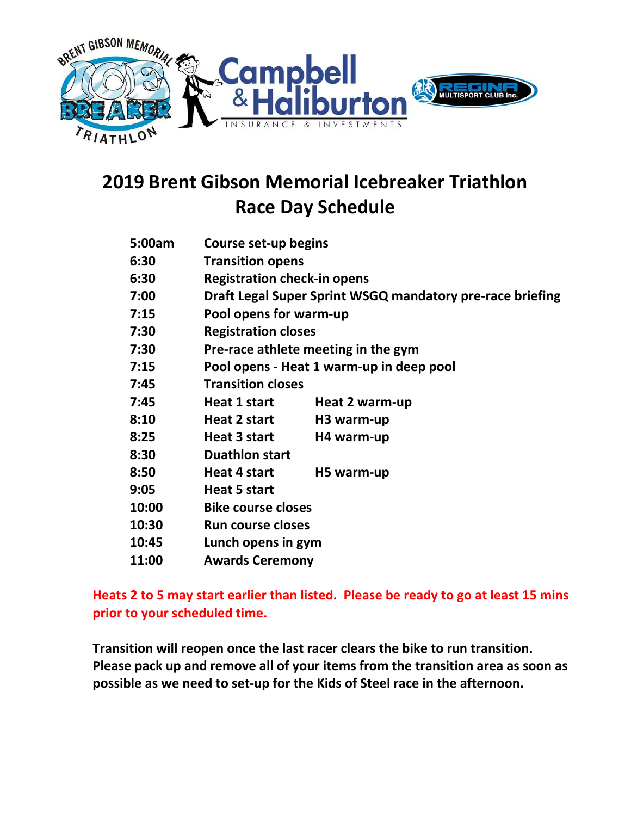

# 2019 Brent Gibson Memorial Icebreaker Triathlon Race Day Schedule

| 5:00am | Course set-up begins                                      |                        |
|--------|-----------------------------------------------------------|------------------------|
| 6:30   | <b>Transition opens</b>                                   |                        |
| 6:30   | <b>Registration check-in opens</b>                        |                        |
| 7:00   | Draft Legal Super Sprint WSGQ mandatory pre-race briefing |                        |
| 7:15   | Pool opens for warm-up                                    |                        |
| 7:30   | <b>Registration closes</b>                                |                        |
| 7:30   | Pre-race athlete meeting in the gym                       |                        |
| 7:15   | Pool opens - Heat 1 warm-up in deep pool                  |                        |
| 7:45   | <b>Transition closes</b>                                  |                        |
| 7:45   | Heat 1 start                                              | Heat 2 warm-up         |
| 8:10   | Heat 2 start                                              | H <sub>3</sub> warm-up |
| 8:25   | Heat 3 start                                              | H4 warm-up             |
| 8:30   | <b>Duathlon start</b>                                     |                        |
| 8:50   | Heat 4 start                                              | H5 warm-up             |
| 9:05   | <b>Heat 5 start</b>                                       |                        |
| 10:00  | <b>Bike course closes</b>                                 |                        |
| 10:30  | <b>Run course closes</b>                                  |                        |
| 10:45  | Lunch opens in gym                                        |                        |
| 11:00  | <b>Awards Ceremony</b>                                    |                        |
|        |                                                           |                        |

### Heats 2 to 5 may start earlier than listed. Please be ready to go at least 15 mins prior to your scheduled time.

Transition will reopen once the last racer clears the bike to run transition. Please pack up and remove all of your items from the transition area as soon as possible as we need to set-up for the Kids of Steel race in the afternoon.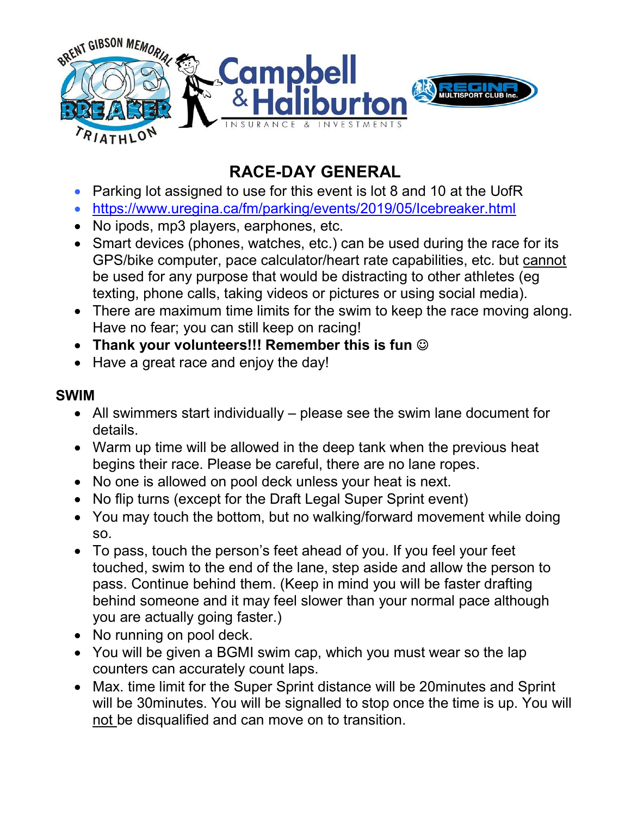

## RACE-DAY GENERAL

- Parking lot assigned to use for this event is lot 8 and 10 at the UofR
- https://www.uregina.ca/fm/parking/events/2019/05/Icebreaker.html
- No ipods, mp3 players, earphones, etc.
- Smart devices (phones, watches, etc.) can be used during the race for its GPS/bike computer, pace calculator/heart rate capabilities, etc. but cannot be used for any purpose that would be distracting to other athletes (eg texting, phone calls, taking videos or pictures or using social media).
- There are maximum time limits for the swim to keep the race moving along. Have no fear; you can still keep on racing!
- Thank your volunteers!!! Remember this is fun  $\odot$
- Have a great race and enjoy the day!

## SWIM

- All swimmers start individually please see the swim lane document for details.
- Warm up time will be allowed in the deep tank when the previous heat begins their race. Please be careful, there are no lane ropes.
- No one is allowed on pool deck unless your heat is next.
- No flip turns (except for the Draft Legal Super Sprint event)
- You may touch the bottom, but no walking/forward movement while doing so.
- To pass, touch the person's feet ahead of you. If you feel your feet touched, swim to the end of the lane, step aside and allow the person to pass. Continue behind them. (Keep in mind you will be faster drafting behind someone and it may feel slower than your normal pace although you are actually going faster.)
- No running on pool deck.
- You will be given a BGMI swim cap, which you must wear so the lap counters can accurately count laps.
- Max. time limit for the Super Sprint distance will be 20minutes and Sprint will be 30minutes. You will be signalled to stop once the time is up. You will not be disqualified and can move on to transition.